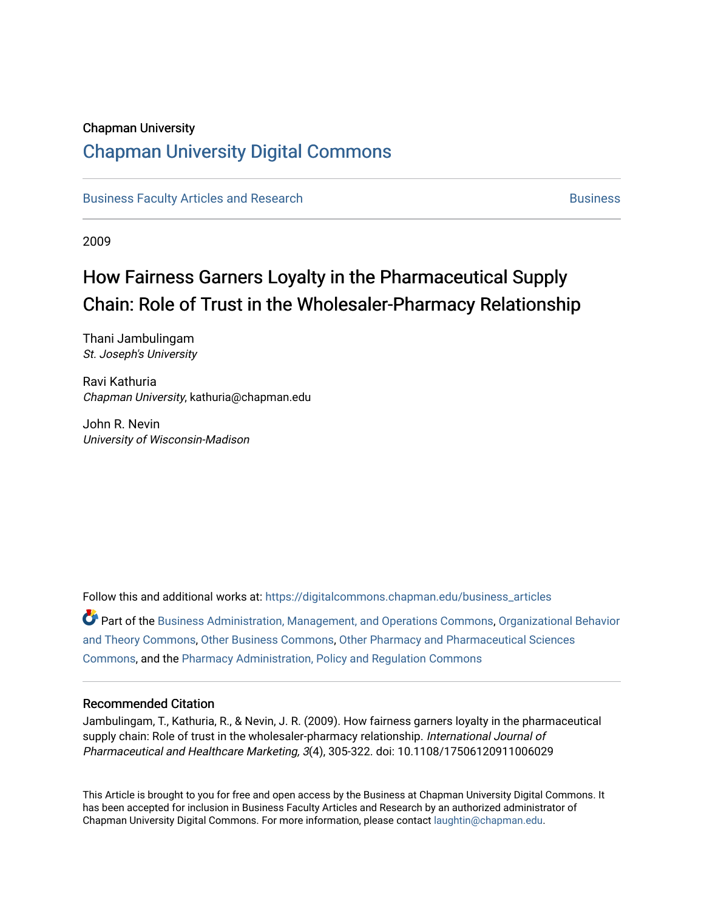# Chapman University

# [Chapman University Digital Commons](https://digitalcommons.chapman.edu/)

[Business Faculty Articles and Research](https://digitalcommons.chapman.edu/business_articles) [Business](https://digitalcommons.chapman.edu/business) **Business** Business

2009

# How Fairness Garners Loyalty in the Pharmaceutical Supply Chain: Role of Trust in the Wholesaler-Pharmacy Relationship

Thani Jambulingam St. Joseph's University

Ravi Kathuria Chapman University, kathuria@chapman.edu

John R. Nevin University of Wisconsin-Madison

Follow this and additional works at: [https://digitalcommons.chapman.edu/business\\_articles](https://digitalcommons.chapman.edu/business_articles?utm_source=digitalcommons.chapman.edu%2Fbusiness_articles%2F84&utm_medium=PDF&utm_campaign=PDFCoverPages)  Part of the [Business Administration, Management, and Operations Commons](http://network.bepress.com/hgg/discipline/623?utm_source=digitalcommons.chapman.edu%2Fbusiness_articles%2F84&utm_medium=PDF&utm_campaign=PDFCoverPages), [Organizational Behavior](http://network.bepress.com/hgg/discipline/639?utm_source=digitalcommons.chapman.edu%2Fbusiness_articles%2F84&utm_medium=PDF&utm_campaign=PDFCoverPages) [and Theory Commons](http://network.bepress.com/hgg/discipline/639?utm_source=digitalcommons.chapman.edu%2Fbusiness_articles%2F84&utm_medium=PDF&utm_campaign=PDFCoverPages), [Other Business Commons,](http://network.bepress.com/hgg/discipline/647?utm_source=digitalcommons.chapman.edu%2Fbusiness_articles%2F84&utm_medium=PDF&utm_campaign=PDFCoverPages) [Other Pharmacy and Pharmaceutical Sciences](http://network.bepress.com/hgg/discipline/737?utm_source=digitalcommons.chapman.edu%2Fbusiness_articles%2F84&utm_medium=PDF&utm_campaign=PDFCoverPages) [Commons](http://network.bepress.com/hgg/discipline/737?utm_source=digitalcommons.chapman.edu%2Fbusiness_articles%2F84&utm_medium=PDF&utm_campaign=PDFCoverPages), and the [Pharmacy Administration, Policy and Regulation Commons](http://network.bepress.com/hgg/discipline/732?utm_source=digitalcommons.chapman.edu%2Fbusiness_articles%2F84&utm_medium=PDF&utm_campaign=PDFCoverPages)

#### Recommended Citation

Jambulingam, T., Kathuria, R., & Nevin, J. R. (2009). How fairness garners loyalty in the pharmaceutical supply chain: Role of trust in the wholesaler-pharmacy relationship. International Journal of Pharmaceutical and Healthcare Marketing, 3(4), 305-322. doi: 10.1108/17506120911006029

This Article is brought to you for free and open access by the Business at Chapman University Digital Commons. It has been accepted for inclusion in Business Faculty Articles and Research by an authorized administrator of Chapman University Digital Commons. For more information, please contact [laughtin@chapman.edu](mailto:laughtin@chapman.edu).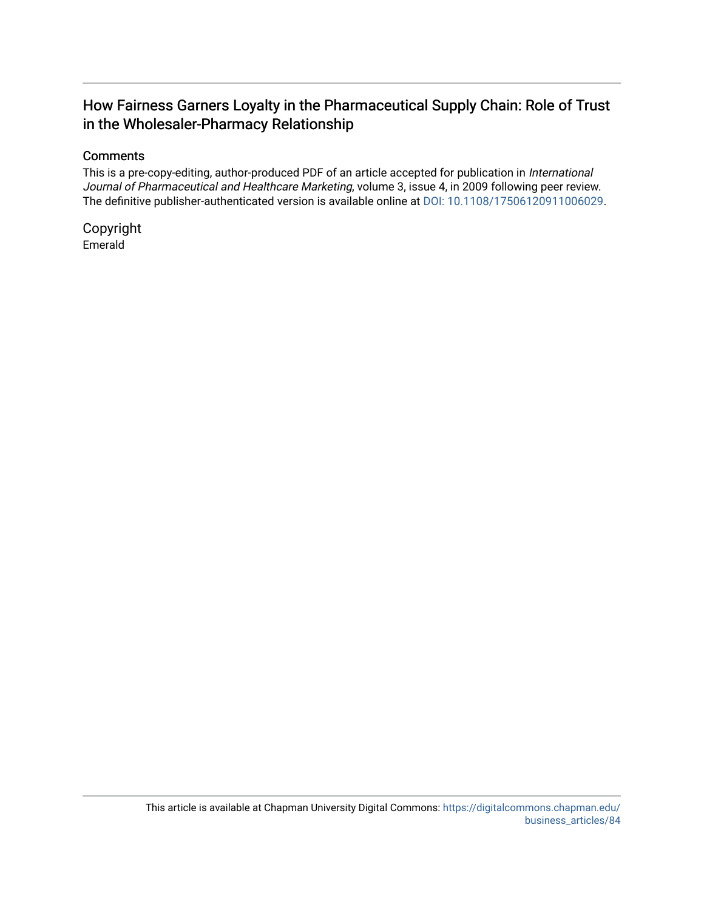# How Fairness Garners Loyalty in the Pharmaceutical Supply Chain: Role of Trust in the Wholesaler-Pharmacy Relationship

## **Comments**

This is a pre-copy-editing, author-produced PDF of an article accepted for publication in International Journal of Pharmaceutical and Healthcare Marketing, volume 3, issue 4, in 2009 following peer review. The definitive publisher-authenticated version is available online at [DOI: 10.1108/17506120911006029](https://doi.org/10.1108/17506120911006029).

Copyright Emerald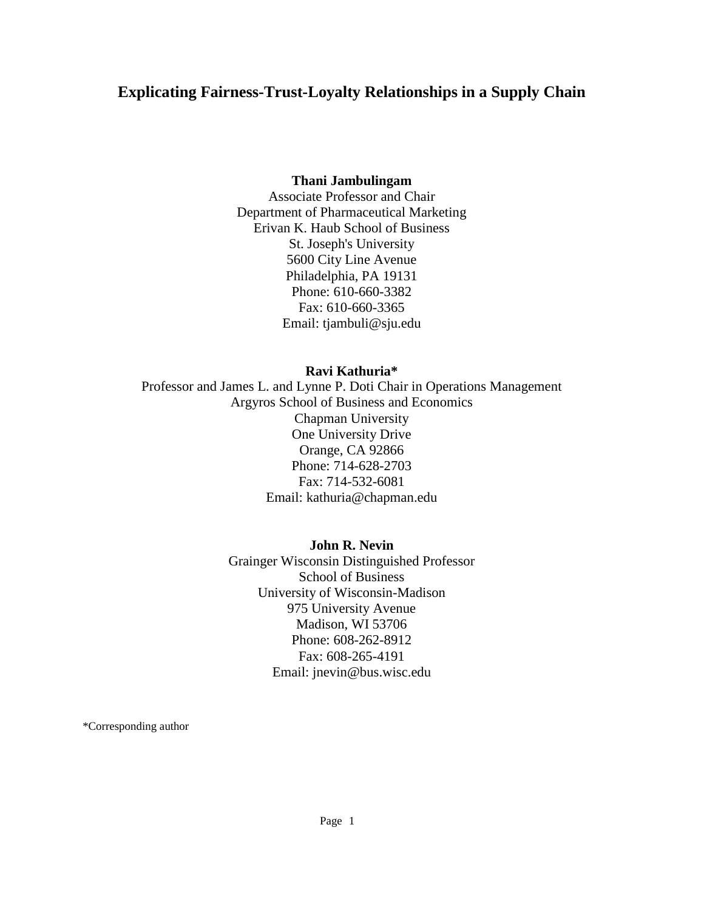# **Explicating Fairness-Trust-Loyalty Relationships in a Supply Chain**

### **Thani Jambulingam**

Associate Professor and Chair Department of Pharmaceutical Marketing Erivan K. Haub School of Business St. Joseph's University 5600 City Line Avenue Philadelphia, PA 19131 Phone: 610-660-3382 Fax: 610-660-3365 Email: tjambuli@sju.edu

#### **Ravi Kathuria\***

Professor and James L. and Lynne P. Doti Chair in Operations Management Argyros School of Business and Economics Chapman University One University Drive Orange, CA 92866 Phone: 714-628-2703 Fax: 714-532-6081 Email: kathuria@chapman.edu

### **John R. Nevin**

Grainger Wisconsin Distinguished Professor School of Business University of Wisconsin-Madison 975 University Avenue Madison, WI 53706 Phone: 608-262-8912 Fax: 608-265-4191 Email: jnevin@bus.wisc.edu

\*Corresponding author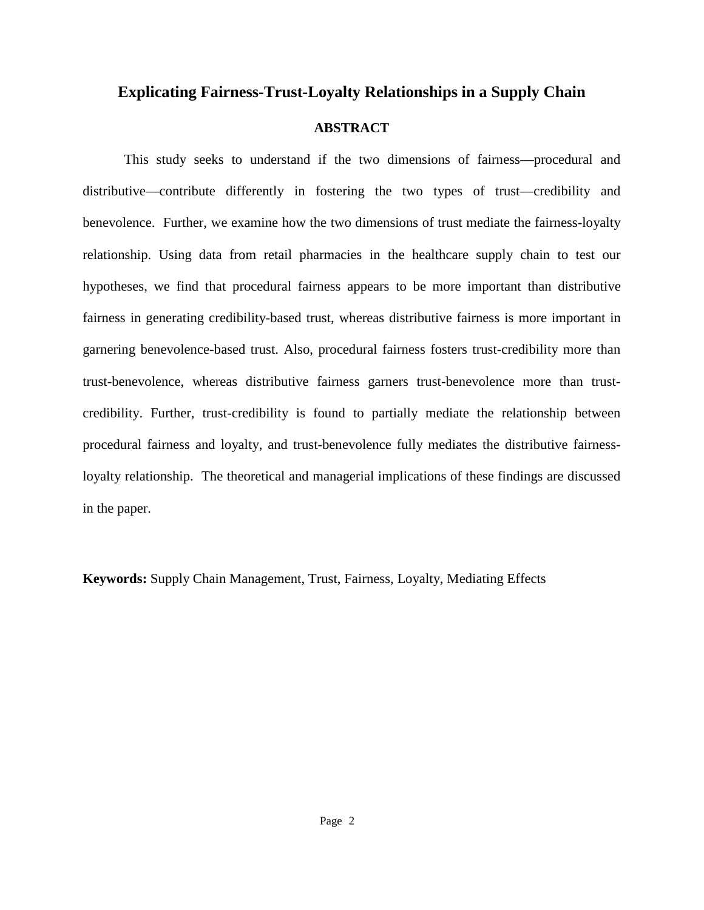# **Explicating Fairness-Trust-Loyalty Relationships in a Supply Chain**

# **ABSTRACT**

This study seeks to understand if the two dimensions of fairness—procedural and distributive—contribute differently in fostering the two types of trust—credibility and benevolence. Further, we examine how the two dimensions of trust mediate the fairness-loyalty relationship. Using data from retail pharmacies in the healthcare supply chain to test our hypotheses, we find that procedural fairness appears to be more important than distributive fairness in generating credibility-based trust, whereas distributive fairness is more important in garnering benevolence-based trust. Also, procedural fairness fosters trust-credibility more than trust-benevolence, whereas distributive fairness garners trust-benevolence more than trustcredibility. Further, trust-credibility is found to partially mediate the relationship between procedural fairness and loyalty, and trust-benevolence fully mediates the distributive fairnessloyalty relationship. The theoretical and managerial implications of these findings are discussed in the paper.

**Keywords:** Supply Chain Management, Trust, Fairness, Loyalty, Mediating Effects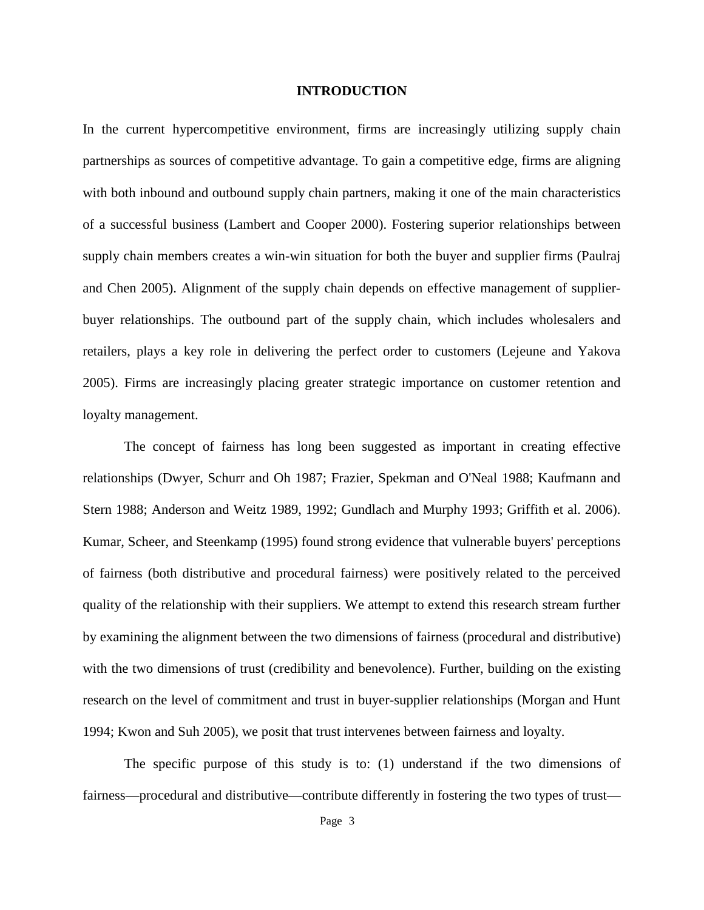#### **INTRODUCTION**

In the current hypercompetitive environment, firms are increasingly utilizing supply chain partnerships as sources of competitive advantage. To gain a competitive edge, firms are aligning with both inbound and outbound supply chain partners, making it one of the main characteristics of a successful business (Lambert and Cooper 2000). Fostering superior relationships between supply chain members creates a win-win situation for both the buyer and supplier firms (Paulraj and Chen 2005). Alignment of the supply chain depends on effective management of supplierbuyer relationships. The outbound part of the supply chain, which includes wholesalers and retailers, plays a key role in delivering the perfect order to customers (Lejeune and Yakova 2005). Firms are increasingly placing greater strategic importance on customer retention and loyalty management.

The concept of fairness has long been suggested as important in creating effective relationships (Dwyer, Schurr and Oh 1987; Frazier, Spekman and O'Neal 1988; Kaufmann and Stern 1988; Anderson and Weitz 1989, 1992; Gundlach and Murphy 1993; Griffith et al. 2006). Kumar, Scheer, and Steenkamp (1995) found strong evidence that vulnerable buyers' perceptions of fairness (both distributive and procedural fairness) were positively related to the perceived quality of the relationship with their suppliers. We attempt to extend this research stream further by examining the alignment between the two dimensions of fairness (procedural and distributive) with the two dimensions of trust (credibility and benevolence). Further, building on the existing research on the level of commitment and trust in buyer-supplier relationships (Morgan and Hunt 1994; Kwon and Suh 2005), we posit that trust intervenes between fairness and loyalty.

The specific purpose of this study is to: (1) understand if the two dimensions of fairness—procedural and distributive—contribute differently in fostering the two types of trust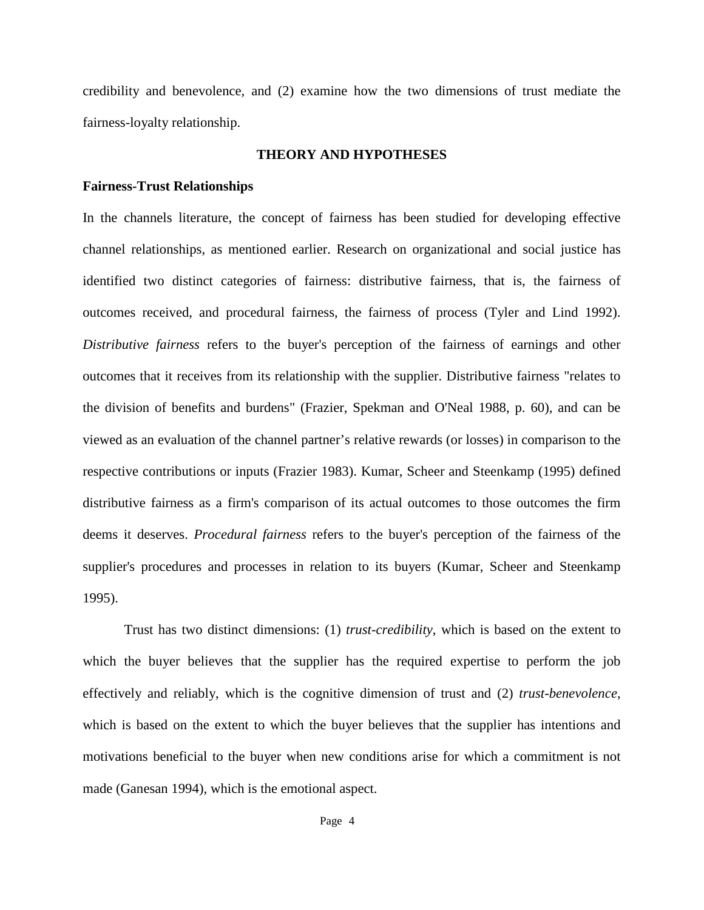credibility and benevolence, and (2) examine how the two dimensions of trust mediate the fairness-loyalty relationship.

#### **THEORY AND HYPOTHESES**

#### **Fairness-Trust Relationships**

In the channels literature, the concept of fairness has been studied for developing effective channel relationships, as mentioned earlier. Research on organizational and social justice has identified two distinct categories of fairness: distributive fairness, that is, the fairness of outcomes received, and procedural fairness, the fairness of process (Tyler and Lind 1992). *Distributive fairness* refers to the buyer's perception of the fairness of earnings and other outcomes that it receives from its relationship with the supplier. Distributive fairness "relates to the division of benefits and burdens" (Frazier, Spekman and O'Neal 1988, p. 60), and can be viewed as an evaluation of the channel partner's relative rewards (or losses) in comparison to the respective contributions or inputs (Frazier 1983). Kumar, Scheer and Steenkamp (1995) defined distributive fairness as a firm's comparison of its actual outcomes to those outcomes the firm deems it deserves. *Procedural fairness* refers to the buyer's perception of the fairness of the supplier's procedures and processes in relation to its buyers (Kumar, Scheer and Steenkamp 1995).

Trust has two distinct dimensions: (1) *trust-credibility*, which is based on the extent to which the buyer believes that the supplier has the required expertise to perform the job effectively and reliably, which is the cognitive dimension of trust and (2) *trust-benevolence,*  which is based on the extent to which the buyer believes that the supplier has intentions and motivations beneficial to the buyer when new conditions arise for which a commitment is not made (Ganesan 1994), which is the emotional aspect.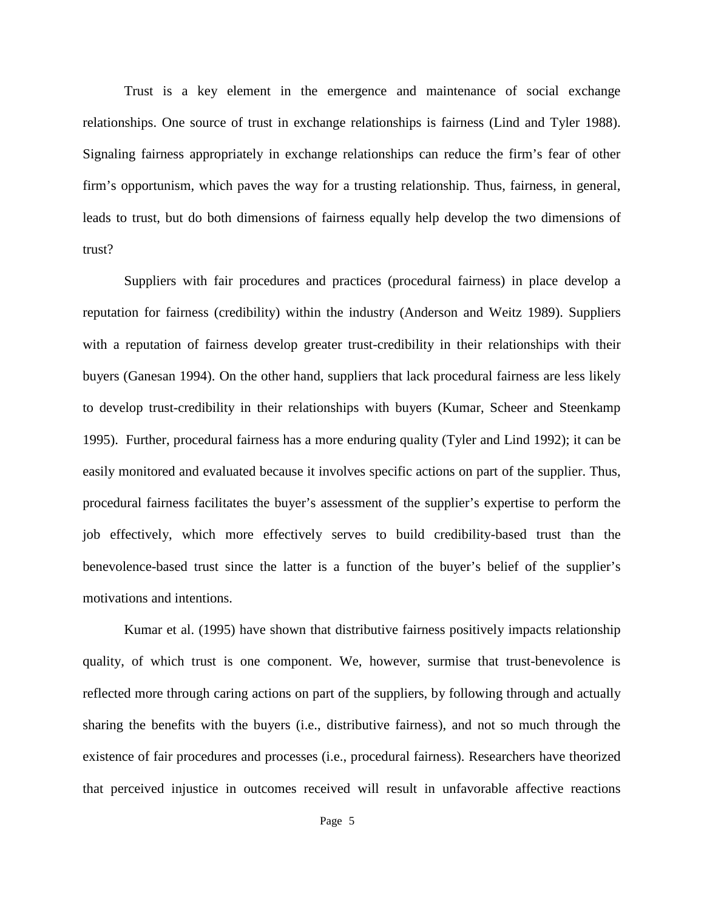Trust is a key element in the emergence and maintenance of social exchange relationships. One source of trust in exchange relationships is fairness (Lind and Tyler 1988). Signaling fairness appropriately in exchange relationships can reduce the firm's fear of other firm's opportunism, which paves the way for a trusting relationship. Thus, fairness, in general, leads to trust, but do both dimensions of fairness equally help develop the two dimensions of trust?

Suppliers with fair procedures and practices (procedural fairness) in place develop a reputation for fairness (credibility) within the industry (Anderson and Weitz 1989). Suppliers with a reputation of fairness develop greater trust-credibility in their relationships with their buyers (Ganesan 1994). On the other hand, suppliers that lack procedural fairness are less likely to develop trust-credibility in their relationships with buyers (Kumar, Scheer and Steenkamp 1995). Further, procedural fairness has a more enduring quality (Tyler and Lind 1992); it can be easily monitored and evaluated because it involves specific actions on part of the supplier. Thus, procedural fairness facilitates the buyer's assessment of the supplier's expertise to perform the job effectively, which more effectively serves to build credibility-based trust than the benevolence-based trust since the latter is a function of the buyer's belief of the supplier's motivations and intentions.

Kumar et al. (1995) have shown that distributive fairness positively impacts relationship quality, of which trust is one component. We, however, surmise that trust-benevolence is reflected more through caring actions on part of the suppliers, by following through and actually sharing the benefits with the buyers (i.e., distributive fairness), and not so much through the existence of fair procedures and processes (i.e., procedural fairness). Researchers have theorized that perceived injustice in outcomes received will result in unfavorable affective reactions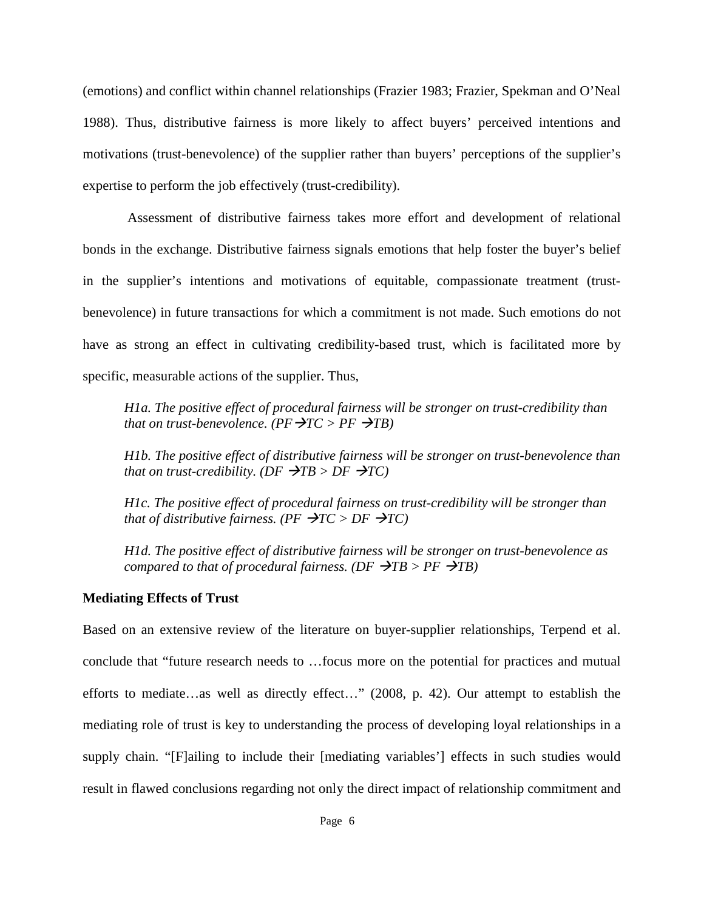(emotions) and conflict within channel relationships (Frazier 1983; Frazier, Spekman and O'Neal 1988). Thus, distributive fairness is more likely to affect buyers' perceived intentions and motivations (trust-benevolence) of the supplier rather than buyers' perceptions of the supplier's expertise to perform the job effectively (trust-credibility).

Assessment of distributive fairness takes more effort and development of relational bonds in the exchange. Distributive fairness signals emotions that help foster the buyer's belief in the supplier's intentions and motivations of equitable, compassionate treatment (trustbenevolence) in future transactions for which a commitment is not made. Such emotions do not have as strong an effect in cultivating credibility-based trust, which is facilitated more by specific, measurable actions of the supplier. Thus,

*H1a. The positive effect of procedural fairness will be stronger on trust-credibility than that on trust-benevolence.*  $(PF \rightarrow TC > PF \rightarrow TB)$ 

*H1b. The positive effect of distributive fairness will be stronger on trust-benevolence than that on trust-credibility. (DF*  $\rightarrow$ *TB > DF*  $\rightarrow$ *TC)* 

*H1c. The positive effect of procedural fairness on trust-credibility will be stronger than that of distributive fairness. (PF*  $\rightarrow$ *TC > DF*  $\rightarrow$ *TC)* 

*H1d. The positive effect of distributive fairness will be stronger on trust-benevolence as compared to that of procedural fairness.*  $(DF \rightarrow TB > PF \rightarrow TB)$ 

#### **Mediating Effects of Trust**

Based on an extensive review of the literature on buyer-supplier relationships, Terpend et al. conclude that "future research needs to …focus more on the potential for practices and mutual efforts to mediate…as well as directly effect…" (2008, p. 42). Our attempt to establish the mediating role of trust is key to understanding the process of developing loyal relationships in a supply chain. "[F]ailing to include their [mediating variables'] effects in such studies would result in flawed conclusions regarding not only the direct impact of relationship commitment and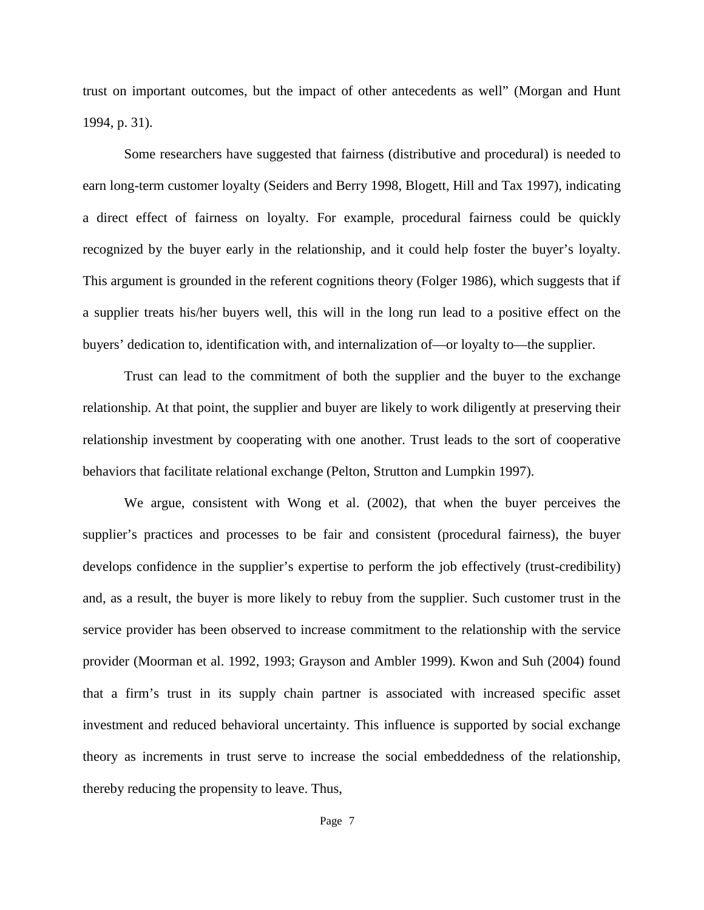trust on important outcomes, but the impact of other antecedents as well" (Morgan and Hunt 1994, p. 31).

Some researchers have suggested that fairness (distributive and procedural) is needed to earn long-term customer loyalty (Seiders and Berry 1998, Blogett, Hill and Tax 1997), indicating a direct effect of fairness on loyalty. For example, procedural fairness could be quickly recognized by the buyer early in the relationship, and it could help foster the buyer's loyalty. This argument is grounded in the referent cognitions theory (Folger 1986), which suggests that if a supplier treats his/her buyers well, this will in the long run lead to a positive effect on the buyers' dedication to, identification with, and internalization of—or loyalty to—the supplier.

Trust can lead to the commitment of both the supplier and the buyer to the exchange relationship. At that point, the supplier and buyer are likely to work diligently at preserving their relationship investment by cooperating with one another. Trust leads to the sort of cooperative behaviors that facilitate relational exchange (Pelton, Strutton and Lumpkin 1997).

We argue, consistent with Wong et al. (2002), that when the buyer perceives the supplier's practices and processes to be fair and consistent (procedural fairness), the buyer develops confidence in the supplier's expertise to perform the job effectively (trust-credibility) and, as a result, the buyer is more likely to rebuy from the supplier. Such customer trust in the service provider has been observed to increase commitment to the relationship with the service provider (Moorman et al. 1992, 1993; Grayson and Ambler 1999). Kwon and Suh (2004) found that a firm's trust in its supply chain partner is associated with increased specific asset investment and reduced behavioral uncertainty. This influence is supported by social exchange theory as increments in trust serve to increase the social embeddedness of the relationship, thereby reducing the propensity to leave. Thus,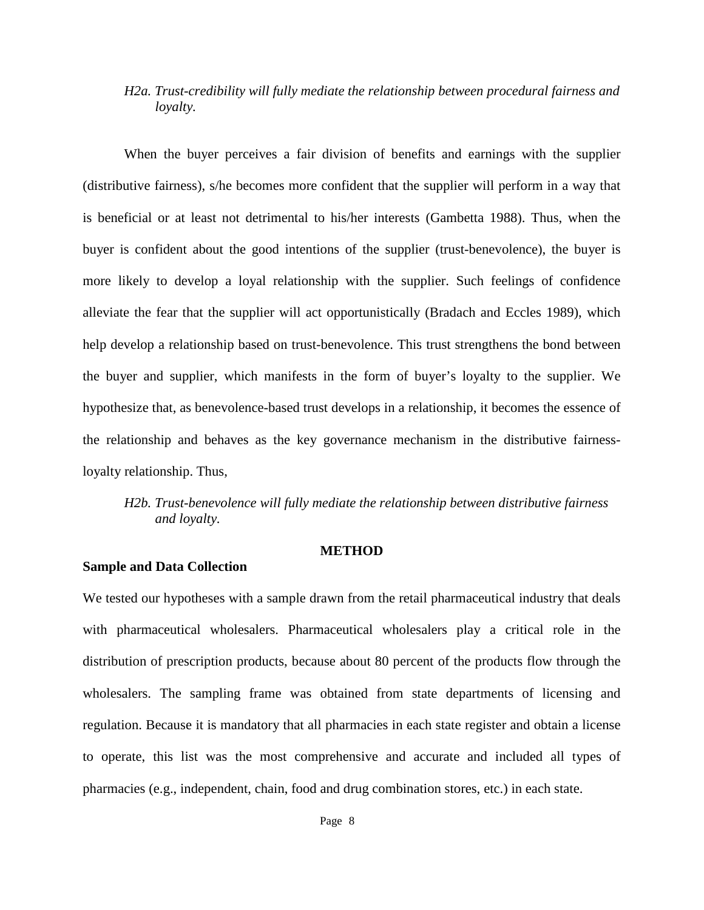# *H2a. Trust-credibility will fully mediate the relationship between procedural fairness and loyalty.*

When the buyer perceives a fair division of benefits and earnings with the supplier (distributive fairness), s/he becomes more confident that the supplier will perform in a way that is beneficial or at least not detrimental to his/her interests (Gambetta 1988). Thus, when the buyer is confident about the good intentions of the supplier (trust-benevolence), the buyer is more likely to develop a loyal relationship with the supplier. Such feelings of confidence alleviate the fear that the supplier will act opportunistically (Bradach and Eccles 1989), which help develop a relationship based on trust-benevolence. This trust strengthens the bond between the buyer and supplier, which manifests in the form of buyer's loyalty to the supplier. We hypothesize that, as benevolence-based trust develops in a relationship, it becomes the essence of the relationship and behaves as the key governance mechanism in the distributive fairnessloyalty relationship. Thus,

*H2b. Trust-benevolence will fully mediate the relationship between distributive fairness and loyalty.*

#### **METHOD**

#### **Sample and Data Collection**

We tested our hypotheses with a sample drawn from the retail pharmaceutical industry that deals with pharmaceutical wholesalers. Pharmaceutical wholesalers play a critical role in the distribution of prescription products, because about 80 percent of the products flow through the wholesalers. The sampling frame was obtained from state departments of licensing and regulation. Because it is mandatory that all pharmacies in each state register and obtain a license to operate, this list was the most comprehensive and accurate and included all types of pharmacies (e.g., independent, chain, food and drug combination stores, etc.) in each state.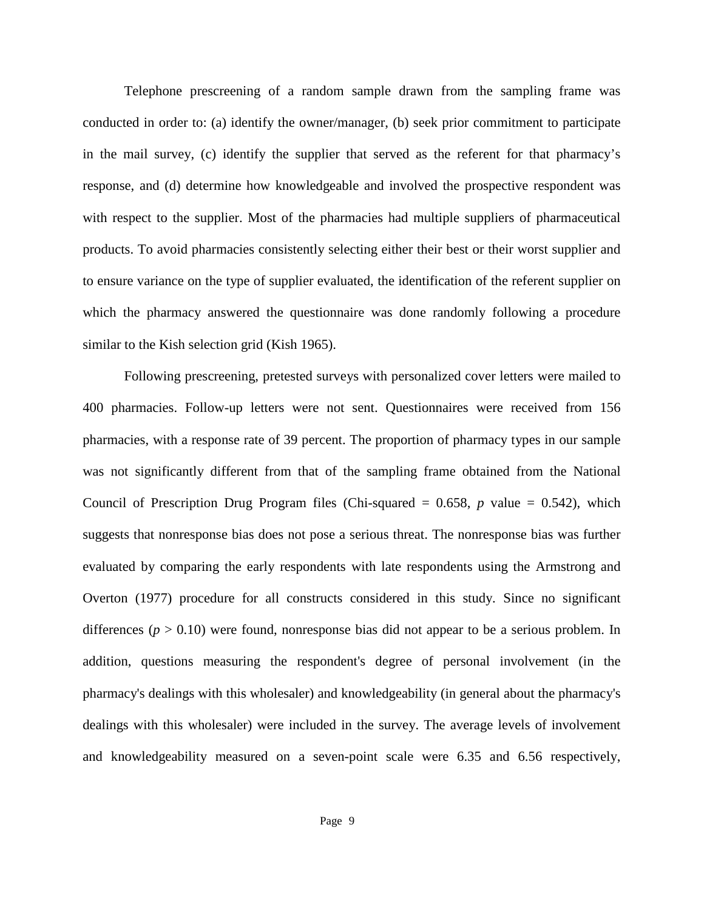Telephone prescreening of a random sample drawn from the sampling frame was conducted in order to: (a) identify the owner/manager, (b) seek prior commitment to participate in the mail survey, (c) identify the supplier that served as the referent for that pharmacy's response, and (d) determine how knowledgeable and involved the prospective respondent was with respect to the supplier. Most of the pharmacies had multiple suppliers of pharmaceutical products. To avoid pharmacies consistently selecting either their best or their worst supplier and to ensure variance on the type of supplier evaluated, the identification of the referent supplier on which the pharmacy answered the questionnaire was done randomly following a procedure similar to the Kish selection grid (Kish 1965).

Following prescreening, pretested surveys with personalized cover letters were mailed to 400 pharmacies. Follow-up letters were not sent. Questionnaires were received from 156 pharmacies, with a response rate of 39 percent. The proportion of pharmacy types in our sample was not significantly different from that of the sampling frame obtained from the National Council of Prescription Drug Program files (Chi-squared  $= 0.658$ , *p* value  $= 0.542$ ), which suggests that nonresponse bias does not pose a serious threat. The nonresponse bias was further evaluated by comparing the early respondents with late respondents using the Armstrong and Overton (1977) procedure for all constructs considered in this study. Since no significant differences  $(p > 0.10)$  were found, nonresponse bias did not appear to be a serious problem. In addition, questions measuring the respondent's degree of personal involvement (in the pharmacy's dealings with this wholesaler) and knowledgeability (in general about the pharmacy's dealings with this wholesaler) were included in the survey. The average levels of involvement and knowledgeability measured on a seven-point scale were 6.35 and 6.56 respectively,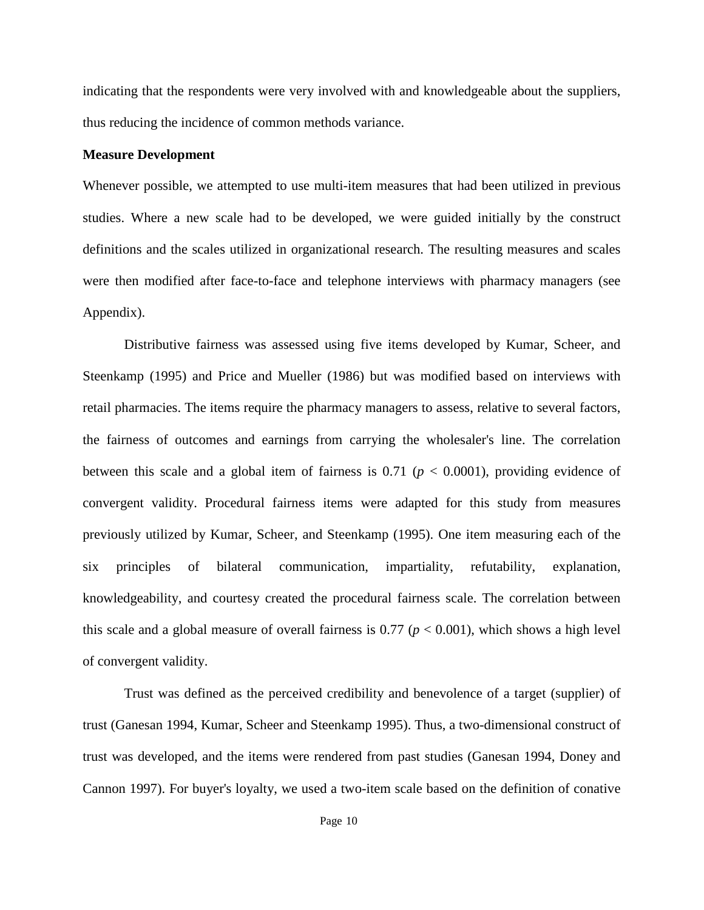indicating that the respondents were very involved with and knowledgeable about the suppliers, thus reducing the incidence of common methods variance.

#### **Measure Development**

Whenever possible, we attempted to use multi-item measures that had been utilized in previous studies. Where a new scale had to be developed, we were guided initially by the construct definitions and the scales utilized in organizational research. The resulting measures and scales were then modified after face-to-face and telephone interviews with pharmacy managers (see Appendix).

Distributive fairness was assessed using five items developed by Kumar, Scheer, and Steenkamp (1995) and Price and Mueller (1986) but was modified based on interviews with retail pharmacies. The items require the pharmacy managers to assess, relative to several factors, the fairness of outcomes and earnings from carrying the wholesaler's line. The correlation between this scale and a global item of fairness is  $0.71$  ( $p < 0.0001$ ), providing evidence of convergent validity. Procedural fairness items were adapted for this study from measures previously utilized by Kumar, Scheer, and Steenkamp (1995). One item measuring each of the six principles of bilateral communication, impartiality, refutability, explanation, knowledgeability, and courtesy created the procedural fairness scale. The correlation between this scale and a global measure of overall fairness is  $0.77$  ( $p < 0.001$ ), which shows a high level of convergent validity.

Trust was defined as the perceived credibility and benevolence of a target (supplier) of trust (Ganesan 1994, Kumar, Scheer and Steenkamp 1995). Thus, a two-dimensional construct of trust was developed, and the items were rendered from past studies (Ganesan 1994, Doney and Cannon 1997). For buyer's loyalty, we used a two-item scale based on the definition of conative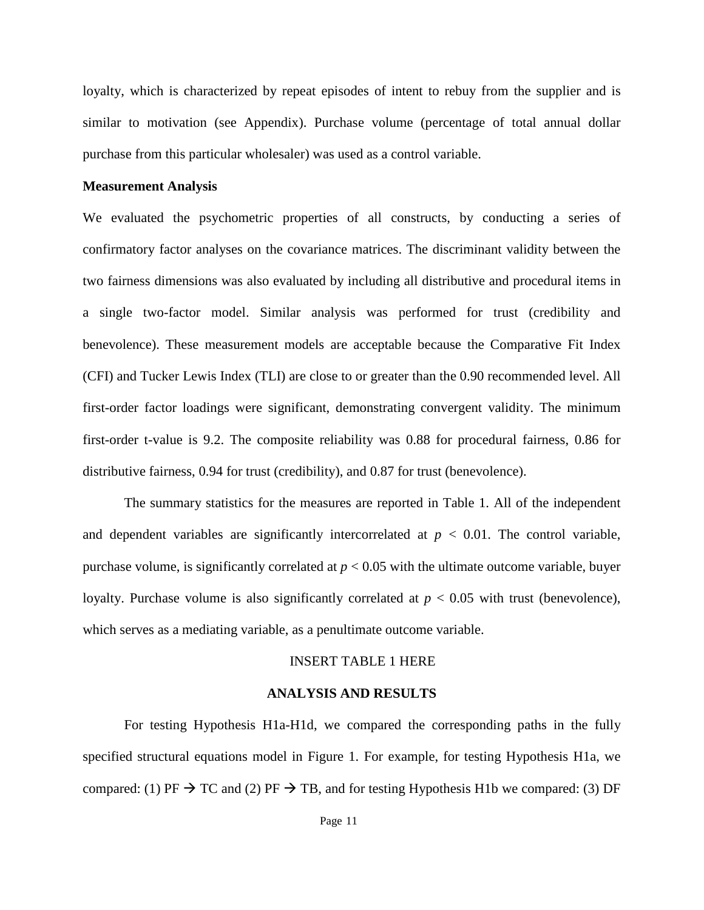loyalty, which is characterized by repeat episodes of intent to rebuy from the supplier and is similar to motivation (see Appendix). Purchase volume (percentage of total annual dollar purchase from this particular wholesaler) was used as a control variable.

#### **Measurement Analysis**

We evaluated the psychometric properties of all constructs, by conducting a series of confirmatory factor analyses on the covariance matrices. The discriminant validity between the two fairness dimensions was also evaluated by including all distributive and procedural items in a single two-factor model. Similar analysis was performed for trust (credibility and benevolence). These measurement models are acceptable because the Comparative Fit Index (CFI) and Tucker Lewis Index (TLI) are close to or greater than the 0.90 recommended level. All first-order factor loadings were significant, demonstrating convergent validity. The minimum first-order t-value is 9.2. The composite reliability was 0.88 for procedural fairness, 0.86 for distributive fairness, 0.94 for trust (credibility), and 0.87 for trust (benevolence).

The summary statistics for the measures are reported in Table 1. All of the independent and dependent variables are significantly intercorrelated at  $p < 0.01$ . The control variable, purchase volume, is significantly correlated at  $p < 0.05$  with the ultimate outcome variable, buyer loyalty. Purchase volume is also significantly correlated at  $p < 0.05$  with trust (benevolence), which serves as a mediating variable, as a penultimate outcome variable.

#### INSERT TABLE 1 HERE

#### **ANALYSIS AND RESULTS**

For testing Hypothesis H1a-H1d, we compared the corresponding paths in the fully specified structural equations model in Figure 1. For example, for testing Hypothesis H1a, we compared: (1) PF  $\rightarrow$  TC and (2) PF  $\rightarrow$  TB, and for testing Hypothesis H1b we compared: (3) DF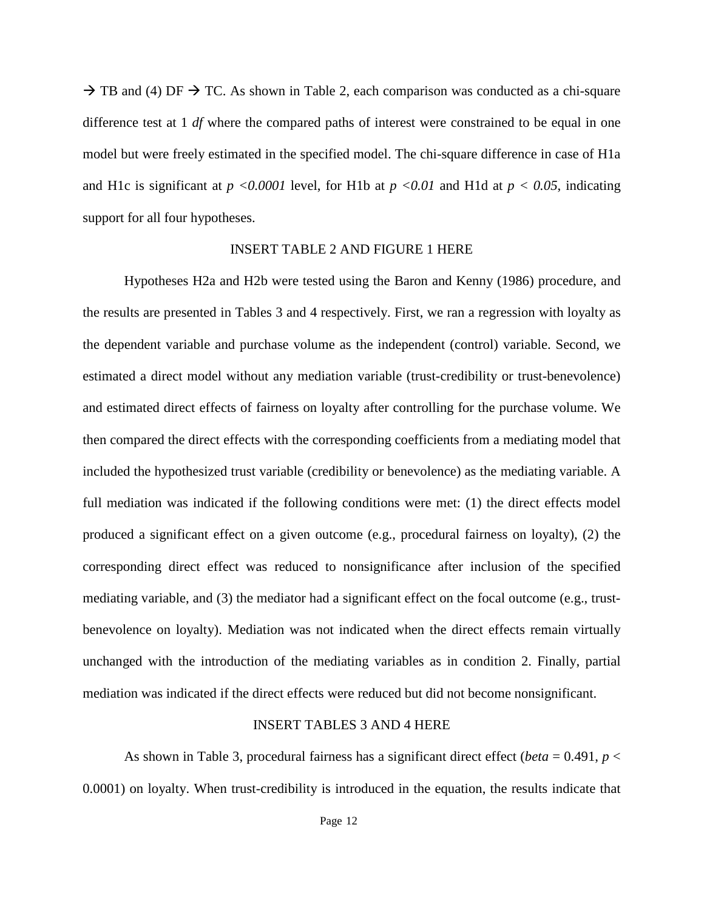$\rightarrow$  TB and (4) DF  $\rightarrow$  TC. As shown in Table 2, each comparison was conducted as a chi-square difference test at 1 *df* where the compared paths of interest were constrained to be equal in one model but were freely estimated in the specified model. The chi-square difference in case of H1a and H1c is significant at  $p \le 0.0001$  level, for H1b at  $p \le 0.01$  and H1d at  $p \le 0.05$ , indicating support for all four hypotheses.

#### INSERT TABLE 2 AND FIGURE 1 HERE

Hypotheses H2a and H2b were tested using the Baron and Kenny (1986) procedure, and the results are presented in Tables 3 and 4 respectively. First, we ran a regression with loyalty as the dependent variable and purchase volume as the independent (control) variable. Second, we estimated a direct model without any mediation variable (trust-credibility or trust-benevolence) and estimated direct effects of fairness on loyalty after controlling for the purchase volume. We then compared the direct effects with the corresponding coefficients from a mediating model that included the hypothesized trust variable (credibility or benevolence) as the mediating variable. A full mediation was indicated if the following conditions were met: (1) the direct effects model produced a significant effect on a given outcome (e.g., procedural fairness on loyalty), (2) the corresponding direct effect was reduced to nonsignificance after inclusion of the specified mediating variable, and (3) the mediator had a significant effect on the focal outcome (e.g., trustbenevolence on loyalty). Mediation was not indicated when the direct effects remain virtually unchanged with the introduction of the mediating variables as in condition 2. Finally, partial mediation was indicated if the direct effects were reduced but did not become nonsignificant.

#### INSERT TABLES 3 AND 4 HERE

As shown in Table 3, procedural fairness has a significant direct effect (*beta* = 0.491, *p* < 0.0001) on loyalty. When trust-credibility is introduced in the equation, the results indicate that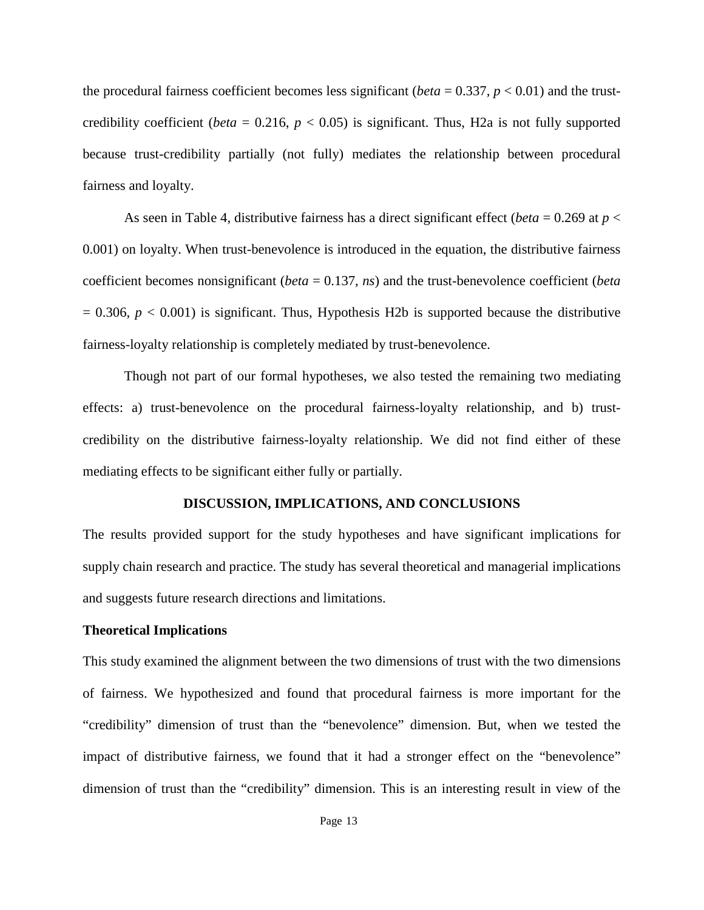the procedural fairness coefficient becomes less significant (*beta* =  $0.337$ , *p* <  $0.01$ ) and the trustcredibility coefficient (*beta* = 0.216,  $p$  < 0.05) is significant. Thus, H2a is not fully supported because trust-credibility partially (not fully) mediates the relationship between procedural fairness and loyalty.

As seen in Table 4, distributive fairness has a direct significant effect (*beta* = 0.269 at *p* < 0.001) on loyalty. When trust-benevolence is introduced in the equation, the distributive fairness coefficient becomes nonsignificant (*beta* = 0.137, *ns*) and the trust-benevolence coefficient (*beta*  $= 0.306$ ,  $p < 0.001$ ) is significant. Thus, Hypothesis H2b is supported because the distributive fairness-loyalty relationship is completely mediated by trust-benevolence.

Though not part of our formal hypotheses, we also tested the remaining two mediating effects: a) trust-benevolence on the procedural fairness-loyalty relationship, and b) trustcredibility on the distributive fairness-loyalty relationship. We did not find either of these mediating effects to be significant either fully or partially.

#### **DISCUSSION, IMPLICATIONS, AND CONCLUSIONS**

The results provided support for the study hypotheses and have significant implications for supply chain research and practice. The study has several theoretical and managerial implications and suggests future research directions and limitations.

#### **Theoretical Implications**

This study examined the alignment between the two dimensions of trust with the two dimensions of fairness. We hypothesized and found that procedural fairness is more important for the "credibility" dimension of trust than the "benevolence" dimension. But, when we tested the impact of distributive fairness, we found that it had a stronger effect on the "benevolence" dimension of trust than the "credibility" dimension. This is an interesting result in view of the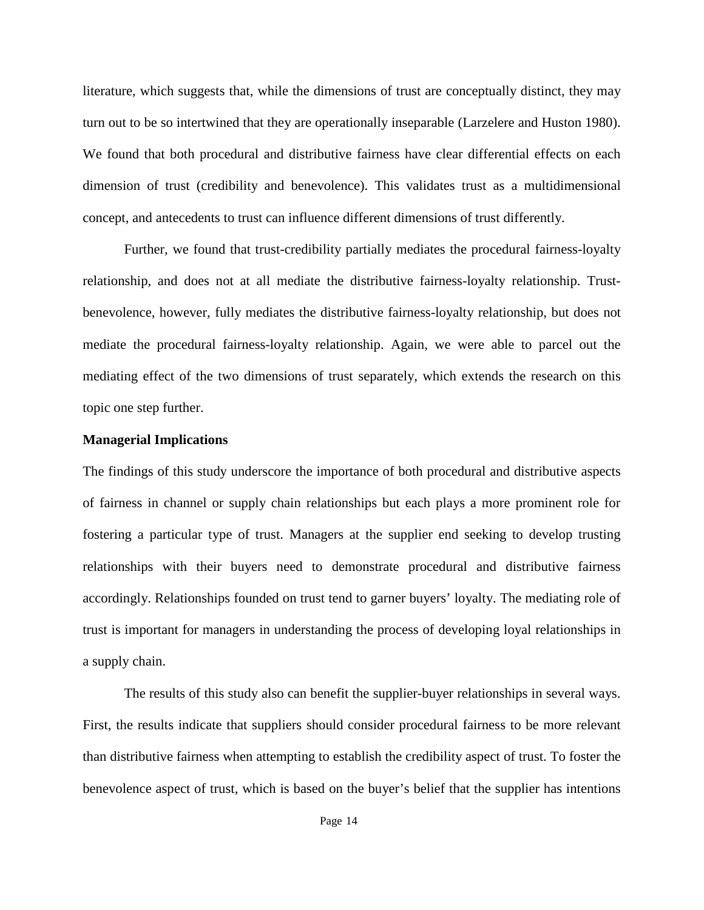literature, which suggests that, while the dimensions of trust are conceptually distinct, they may turn out to be so intertwined that they are operationally inseparable (Larzelere and Huston 1980). We found that both procedural and distributive fairness have clear differential effects on each dimension of trust (credibility and benevolence). This validates trust as a multidimensional concept, and antecedents to trust can influence different dimensions of trust differently.

Further, we found that trust-credibility partially mediates the procedural fairness-loyalty relationship, and does not at all mediate the distributive fairness-loyalty relationship. Trustbenevolence, however, fully mediates the distributive fairness-loyalty relationship, but does not mediate the procedural fairness-loyalty relationship. Again, we were able to parcel out the mediating effect of the two dimensions of trust separately, which extends the research on this topic one step further.

#### **Managerial Implications**

The findings of this study underscore the importance of both procedural and distributive aspects of fairness in channel or supply chain relationships but each plays a more prominent role for fostering a particular type of trust. Managers at the supplier end seeking to develop trusting relationships with their buyers need to demonstrate procedural and distributive fairness accordingly. Relationships founded on trust tend to garner buyers' loyalty. The mediating role of trust is important for managers in understanding the process of developing loyal relationships in a supply chain.

The results of this study also can benefit the supplier-buyer relationships in several ways. First, the results indicate that suppliers should consider procedural fairness to be more relevant than distributive fairness when attempting to establish the credibility aspect of trust. To foster the benevolence aspect of trust, which is based on the buyer's belief that the supplier has intentions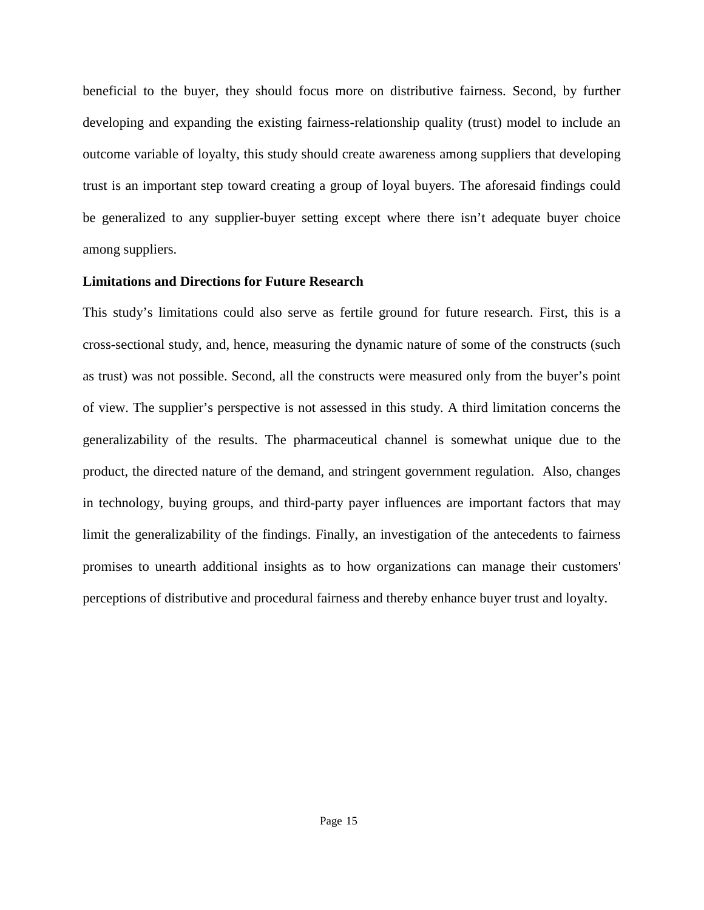beneficial to the buyer, they should focus more on distributive fairness. Second, by further developing and expanding the existing fairness-relationship quality (trust) model to include an outcome variable of loyalty, this study should create awareness among suppliers that developing trust is an important step toward creating a group of loyal buyers. The aforesaid findings could be generalized to any supplier-buyer setting except where there isn't adequate buyer choice among suppliers.

#### **Limitations and Directions for Future Research**

This study's limitations could also serve as fertile ground for future research. First, this is a cross-sectional study, and, hence, measuring the dynamic nature of some of the constructs (such as trust) was not possible. Second, all the constructs were measured only from the buyer's point of view. The supplier's perspective is not assessed in this study. A third limitation concerns the generalizability of the results. The pharmaceutical channel is somewhat unique due to the product, the directed nature of the demand, and stringent government regulation. Also, changes in technology, buying groups, and third-party payer influences are important factors that may limit the generalizability of the findings. Finally, an investigation of the antecedents to fairness promises to unearth additional insights as to how organizations can manage their customers' perceptions of distributive and procedural fairness and thereby enhance buyer trust and loyalty.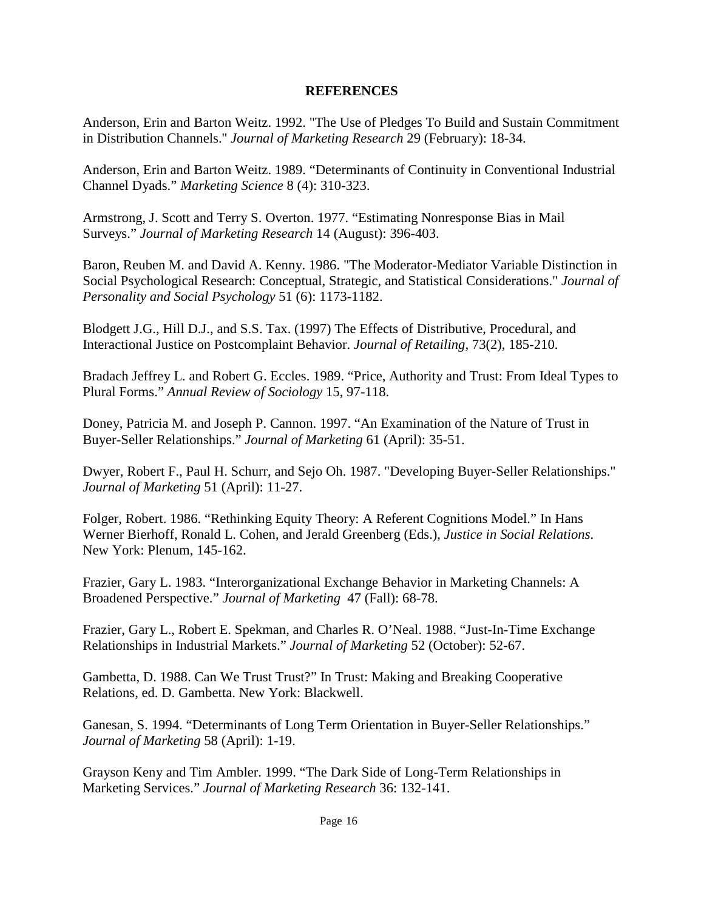# **REFERENCES**

Anderson, Erin and Barton Weitz. 1992. "The Use of Pledges To Build and Sustain Commitment in Distribution Channels." *Journal of Marketing Research* 29 (February): 18-34.

Anderson, Erin and Barton Weitz. 1989. "Determinants of Continuity in Conventional Industrial Channel Dyads." *Marketing Science* 8 (4): 310-323.

Armstrong, J. Scott and Terry S. Overton. 1977. "Estimating Nonresponse Bias in Mail Surveys." *Journal of Marketing Research* 14 (August): 396-403.

Baron, Reuben M. and David A. Kenny. 1986. "The Moderator-Mediator Variable Distinction in Social Psychological Research: Conceptual, Strategic, and Statistical Considerations." *Journal of Personality and Social Psychology* 51 (6): 1173-1182.

Blodgett J.G., Hill D.J., and S.S. Tax. (1997) The Effects of Distributive, Procedural, and Interactional Justice on Postcomplaint Behavior. *Journal of Retailing,* 73(2), 185-210.

Bradach Jeffrey L. and Robert G. Eccles. 1989. "Price, Authority and Trust: From Ideal Types to Plural Forms." *Annual Review of Sociology* 15, 97-118.

Doney, Patricia M. and Joseph P. Cannon. 1997. "An Examination of the Nature of Trust in Buyer-Seller Relationships." *Journal of Marketing* 61 (April): 35-51.

Dwyer, Robert F., Paul H. Schurr, and Sejo Oh. 1987. "Developing Buyer-Seller Relationships." *Journal of Marketing* 51 (April): 11-27.

Folger, Robert. 1986. "Rethinking Equity Theory: A Referent Cognitions Model." In Hans Werner Bierhoff, Ronald L. Cohen, and Jerald Greenberg (Eds.), *Justice in Social Relations*. New York: Plenum, 145-162.

Frazier, Gary L. 1983. "Interorganizational Exchange Behavior in Marketing Channels: A Broadened Perspective." *Journal of Marketing* 47 (Fall): 68-78.

Frazier, Gary L., Robert E. Spekman, and Charles R. O'Neal. 1988. "Just-In-Time Exchange Relationships in Industrial Markets." *Journal of Marketing* 52 (October): 52-67.

Gambetta, D. 1988. Can We Trust Trust?" In Trust: Making and Breaking Cooperative Relations, ed. D. Gambetta. New York: Blackwell.

Ganesan, S. 1994. "Determinants of Long Term Orientation in Buyer-Seller Relationships." *Journal of Marketing* 58 (April): 1-19.

Grayson Keny and Tim Ambler. 1999. "The Dark Side of Long-Term Relationships in Marketing Services." *Journal of Marketing Research* 36: 132-141.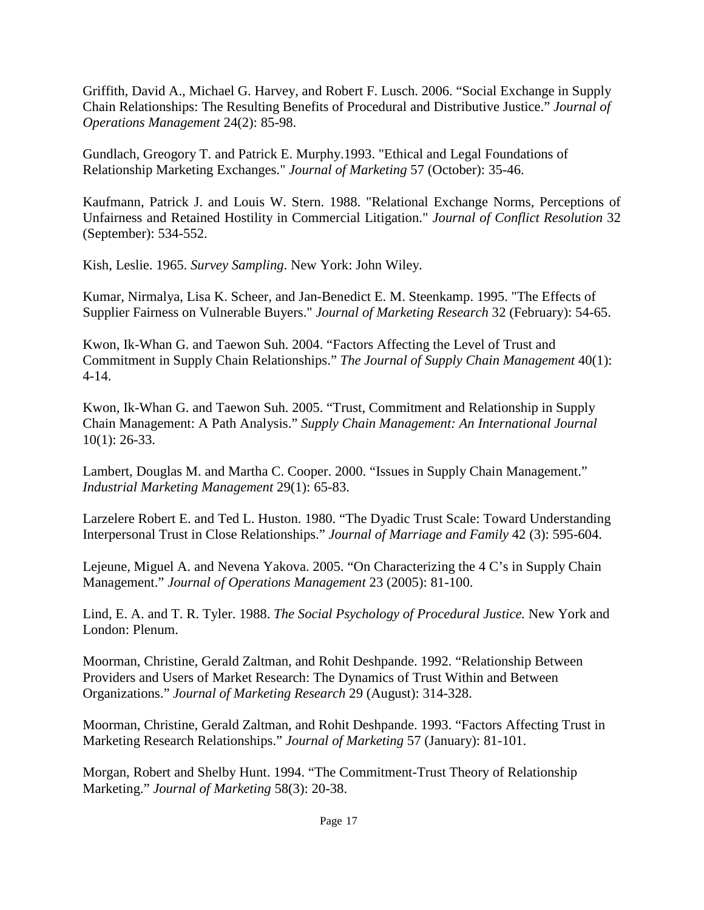Griffith, David A., Michael G. Harvey, and Robert F. Lusch. 2006. "Social Exchange in Supply Chain Relationships: The Resulting Benefits of Procedural and Distributive Justice." *Journal of Operations Management* 24(2): 85-98.

Gundlach, Greogory T. and Patrick E. Murphy.1993. "Ethical and Legal Foundations of Relationship Marketing Exchanges." *Journal of Marketing* 57 (October): 35-46.

Kaufmann, Patrick J. and Louis W. Stern. 1988. "Relational Exchange Norms, Perceptions of Unfairness and Retained Hostility in Commercial Litigation." *Journal of Conflict Resolution* 32 (September): 534-552.

Kish, Leslie. 1965. *Survey Sampling*. New York: John Wiley.

Kumar, Nirmalya, Lisa K. Scheer, and Jan-Benedict E. M. Steenkamp. 1995. "The Effects of Supplier Fairness on Vulnerable Buyers." *Journal of Marketing Research* 32 (February): 54-65.

Kwon, Ik-Whan G. and Taewon Suh. 2004. "Factors Affecting the Level of Trust and Commitment in Supply Chain Relationships." *The Journal of Supply Chain Management* 40(1): 4-14.

Kwon, Ik-Whan G. and Taewon Suh. 2005. "Trust, Commitment and Relationship in Supply Chain Management: A Path Analysis." *Supply Chain Management: An International Journal* 10(1): 26-33.

Lambert, Douglas M. and Martha C. Cooper. 2000. "Issues in Supply Chain Management." *Industrial Marketing Management* 29(1): 65-83.

Larzelere Robert E. and Ted L. Huston. 1980. "The Dyadic Trust Scale: Toward Understanding Interpersonal Trust in Close Relationships." *Journal of Marriage and Family* 42 (3): 595-604.

Lejeune, Miguel A. and Nevena Yakova. 2005. "On Characterizing the 4 C's in Supply Chain Management." *Journal of Operations Management* 23 (2005): 81-100.

Lind, E. A. and T. R. Tyler. 1988. *The Social Psychology of Procedural Justice.* New York and London: Plenum.

Moorman, Christine, Gerald Zaltman, and Rohit Deshpande. 1992. "Relationship Between Providers and Users of Market Research: The Dynamics of Trust Within and Between Organizations." *Journal of Marketing Research* 29 (August): 314-328.

Moorman, Christine, Gerald Zaltman, and Rohit Deshpande. 1993. "Factors Affecting Trust in Marketing Research Relationships." *Journal of Marketing* 57 (January): 81-101.

Morgan, Robert and Shelby Hunt. 1994. "The Commitment-Trust Theory of Relationship Marketing." *Journal of Marketing* 58(3): 20-38.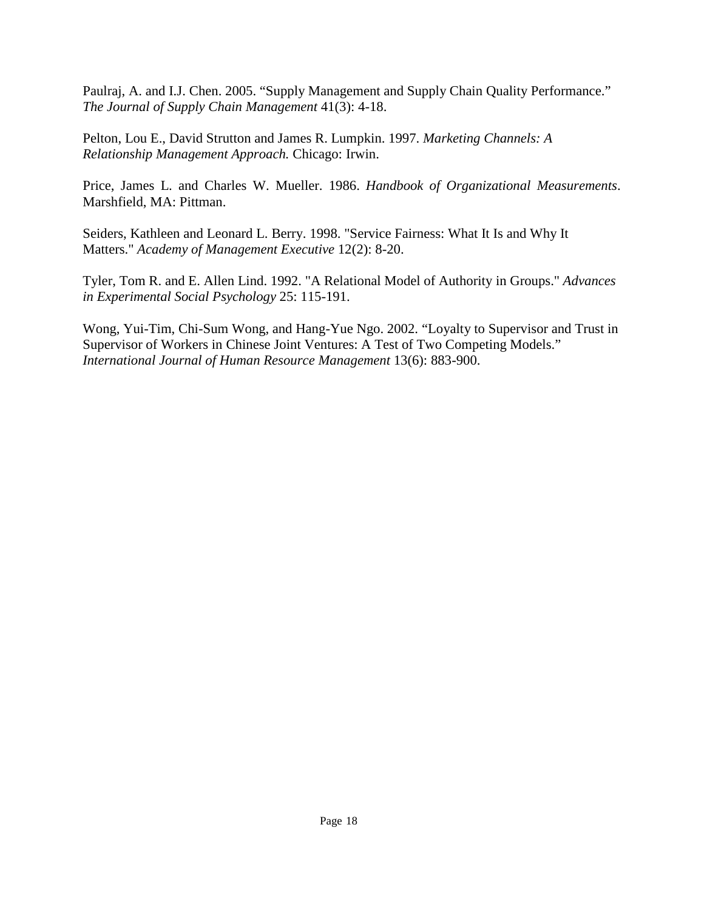Paulraj, A. and I.J. Chen. 2005. "Supply Management and Supply Chain Quality Performance." *The Journal of Supply Chain Management* 41(3): 4-18.

Pelton, Lou E., David Strutton and James R. Lumpkin. 1997. *Marketing Channels: A Relationship Management Approach.* Chicago: Irwin.

Price, James L. and Charles W. Mueller. 1986. *Handbook of Organizational Measurements*. Marshfield, MA: Pittman.

Seiders, Kathleen and Leonard L. Berry. 1998. "Service Fairness: What It Is and Why It Matters." *Academy of Management Executive* 12(2): 8-20.

Tyler, Tom R. and E. Allen Lind. 1992. "A Relational Model of Authority in Groups." *Advances in Experimental Social Psychology* 25: 115-191.

Wong, Yui-Tim, Chi-Sum Wong, and Hang-Yue Ngo. 2002. "Loyalty to Supervisor and Trust in Supervisor of Workers in Chinese Joint Ventures: A Test of Two Competing Models." *International Journal of Human Resource Management* 13(6): 883-900.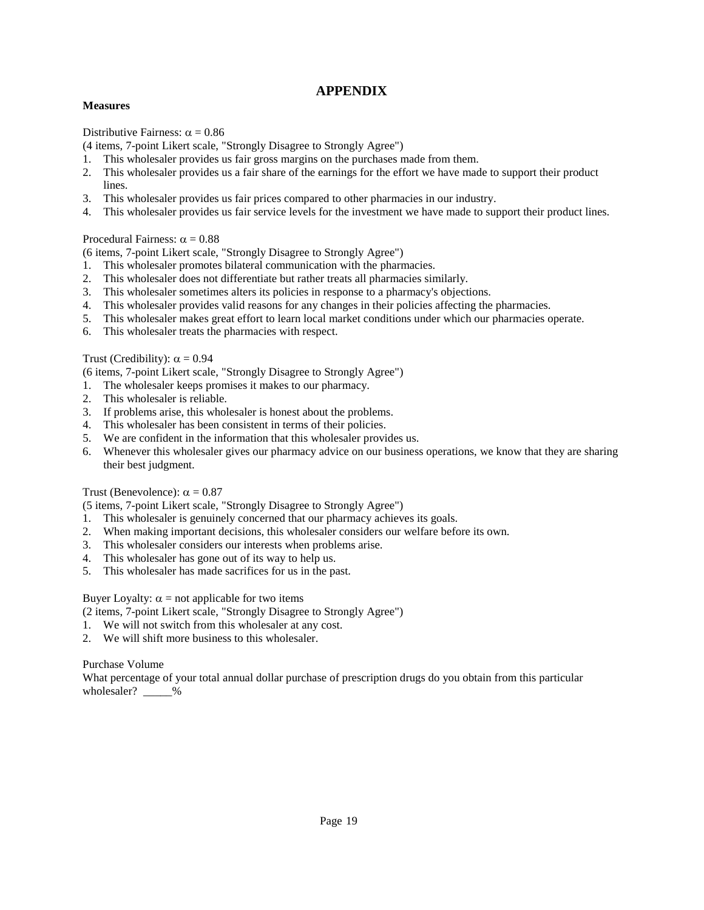## **APPENDIX**

#### **Measures**

Distributive Fairness:  $\alpha = 0.86$ 

- (4 items, 7-point Likert scale, "Strongly Disagree to Strongly Agree")
- 1. This wholesaler provides us fair gross margins on the purchases made from them.
- 2. This wholesaler provides us a fair share of the earnings for the effort we have made to support their product lines.
- 3. This wholesaler provides us fair prices compared to other pharmacies in our industry.
- 4. This wholesaler provides us fair service levels for the investment we have made to support their product lines.

#### Procedural Fairness:  $\alpha = 0.88$

(6 items, 7-point Likert scale, "Strongly Disagree to Strongly Agree")

- 1. This wholesaler promotes bilateral communication with the pharmacies.
- 2. This wholesaler does not differentiate but rather treats all pharmacies similarly.
- 3. This wholesaler sometimes alters its policies in response to a pharmacy's objections.
- 4. This wholesaler provides valid reasons for any changes in their policies affecting the pharmacies.
- 5. This wholesaler makes great effort to learn local market conditions under which our pharmacies operate.
- 6. This wholesaler treats the pharmacies with respect.

#### Trust (Credibility):  $\alpha = 0.94$

(6 items, 7-point Likert scale, "Strongly Disagree to Strongly Agree")

- 1. The wholesaler keeps promises it makes to our pharmacy.
- 2. This wholesaler is reliable.
- 3. If problems arise, this wholesaler is honest about the problems.
- 4. This wholesaler has been consistent in terms of their policies.
- 5. We are confident in the information that this wholesaler provides us.
- 6. Whenever this wholesaler gives our pharmacy advice on our business operations, we know that they are sharing their best judgment.

#### Trust (Benevolence):  $\alpha = 0.87$

(5 items, 7-point Likert scale, "Strongly Disagree to Strongly Agree")

- 1. This wholesaler is genuinely concerned that our pharmacy achieves its goals.
- 2. When making important decisions, this wholesaler considers our welfare before its own.
- 3. This wholesaler considers our interests when problems arise.
- 4. This wholesaler has gone out of its way to help us.
- 5. This wholesaler has made sacrifices for us in the past.

Buyer Loyalty:  $\alpha$  = not applicable for two items

(2 items, 7-point Likert scale, "Strongly Disagree to Strongly Agree")

- 1. We will not switch from this wholesaler at any cost.
- 2. We will shift more business to this wholesaler.

#### Purchase Volume

What percentage of your total annual dollar purchase of prescription drugs do you obtain from this particular wholesaler?  $\frac{9}{6}$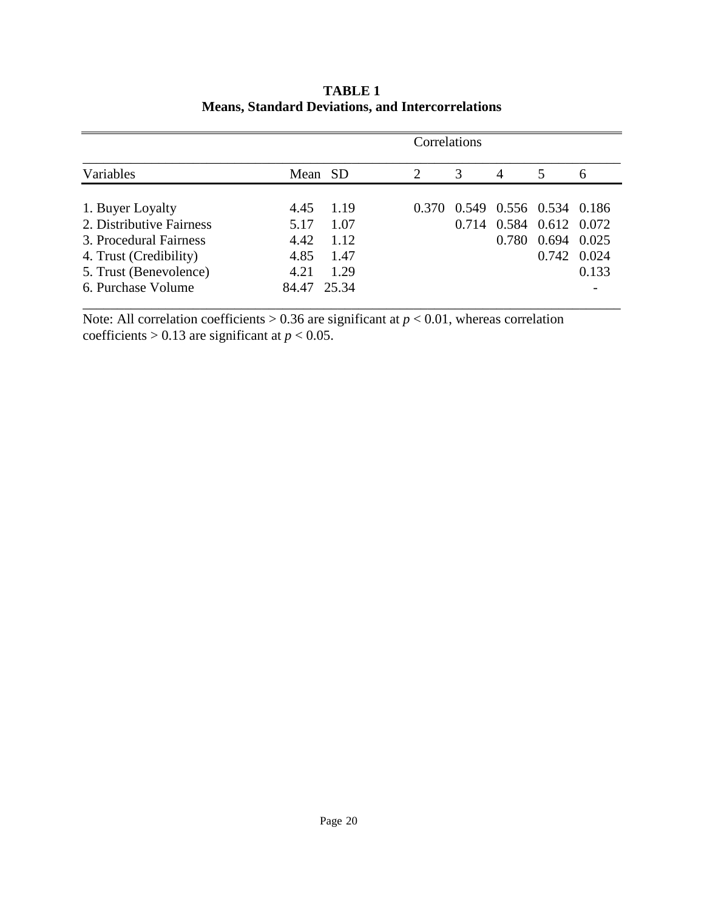| Variables                                    |             |      | Correlations   |       |                |                               |              |
|----------------------------------------------|-------------|------|----------------|-------|----------------|-------------------------------|--------------|
|                                              | Mean SD     |      | $\overline{2}$ | 3     | $\overline{A}$ | 5                             | <sub>0</sub> |
|                                              | 4.45        | 1.19 |                |       |                | 0.370 0.549 0.556 0.534 0.186 |              |
| 1. Buyer Loyalty<br>2. Distributive Fairness | 5.17        | 1.07 |                | 0.714 |                | 0.584 0.612 0.072             |              |
| 3. Procedural Fairness                       | 4.42        | 1.12 |                |       | 0.780          | $0.694$ $0.025$               |              |
| 4. Trust (Credibility)                       | 4.85        | 1.47 |                |       |                | 0.742 0.024                   |              |
| 5. Trust (Benevolence)                       | 4.21        | 1.29 |                |       |                |                               | 0.133        |
| 6. Purchase Volume                           | 84.47 25.34 |      |                |       |                |                               |              |

# **TABLE 1 Means, Standard Deviations, and Intercorrelations**

Note: All correlation coefficients  $> 0.36$  are significant at  $p < 0.01$ , whereas correlation coefficients  $> 0.13$  are significant at  $p < 0.05$ .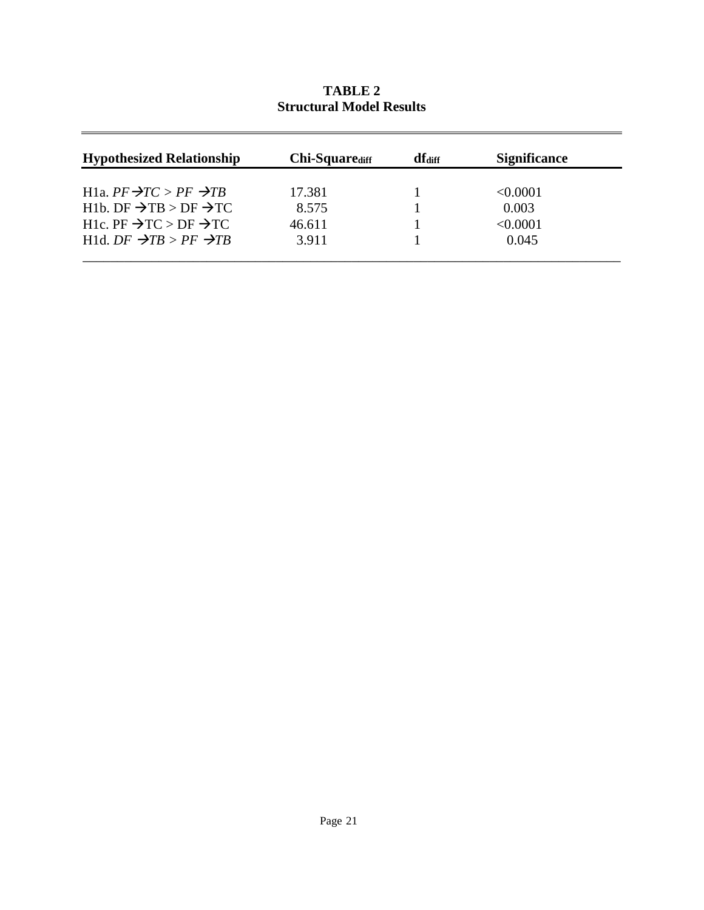| <b>Hypothesized Relationship</b>                                                                                         | <b>Chi-Square</b> diff | df <sub>diff</sub> | <b>Significance</b> |
|--------------------------------------------------------------------------------------------------------------------------|------------------------|--------------------|---------------------|
|                                                                                                                          |                        |                    |                     |
| H <sub>1</sub> a, $PF \rightarrow TC > PF \rightarrow TB$<br>H <sub>1</sub> b. DF $\rightarrow$ TB > DF $\rightarrow$ TC | 17.381<br>8.575        |                    | < 0.0001<br>0.003   |
| H1c. PF $\rightarrow$ TC > DF $\rightarrow$ TC                                                                           | 46.611                 |                    | < 0.0001            |
| H1d. $DF \rightarrow TB > PF \rightarrow TB$                                                                             | 3.911                  |                    | 0.045               |

**TABLE 2 Structural Model Results**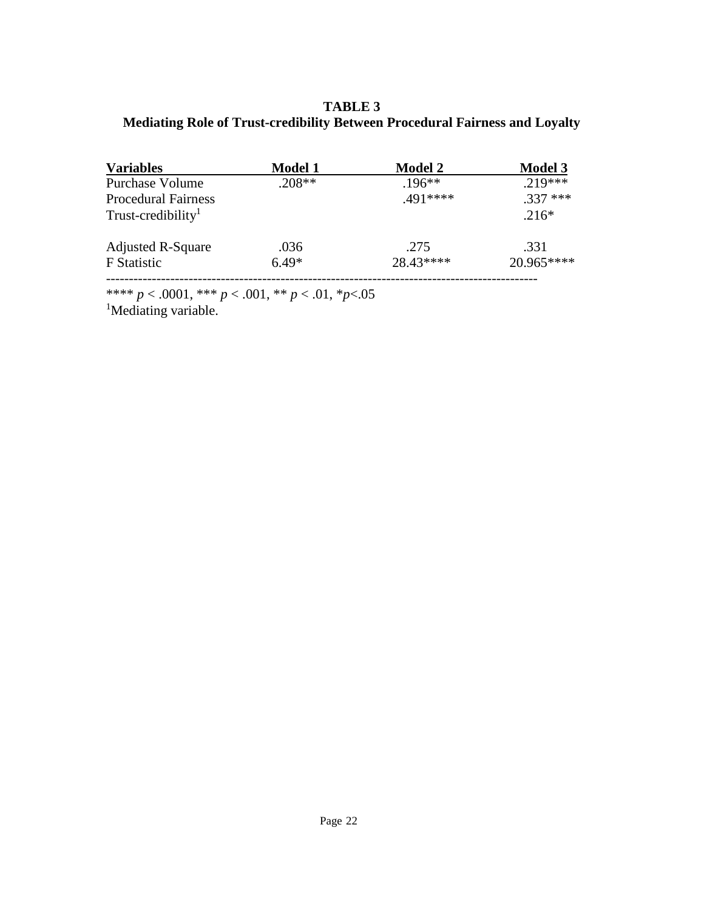**TABLE 3 Mediating Role of Trust-credibility Between Procedural Fairness and Loyalty**

| <b>Variables</b>               | <b>Model 1</b> | <b>Model 2</b> | <b>Model 3</b> |  |
|--------------------------------|----------------|----------------|----------------|--|
| <b>Purchase Volume</b>         | $.208**$       | $.196**$       | $.219***$      |  |
| <b>Procedural Fairness</b>     |                | $.491***$      | $.337***$      |  |
| Trust-credibility <sup>1</sup> |                |                | $.216*$        |  |
| <b>Adjusted R-Square</b>       | .036           | .275           | .331           |  |
| <b>F</b> Statistic             | $6.49*$        | 28.43****      | 20.965****     |  |
|                                |                |                |                |  |

\*\*\*\* *p* < .0001, \*\*\* *p* < .001, \*\* *p* < .01, \**p*<.05

<sup>1</sup>Mediating variable.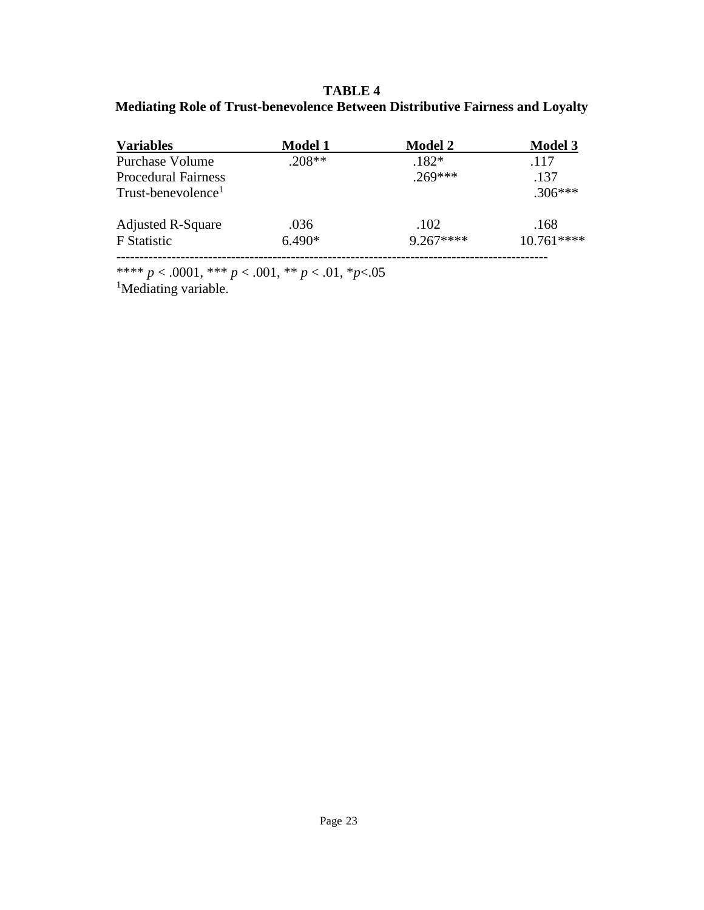# **TABLE 4 Mediating Role of Trust-benevolence Between Distributive Fairness and Loyalty**

| <b>Variables</b>               | <b>Model 1</b> | <b>Model 2</b> | <b>Model 3</b> |  |
|--------------------------------|----------------|----------------|----------------|--|
| <b>Purchase Volume</b>         | $.208**$       | $.182*$        | .117           |  |
| <b>Procedural Fairness</b>     |                | $.269***$      | .137           |  |
| Trust-benevolence <sup>1</sup> |                |                | $.306***$      |  |
| <b>Adjusted R-Square</b>       | .036           | .102           | .168           |  |
| <b>F</b> Statistic             | $6.490*$       | $9.267***$     | 10.761****     |  |
|                                |                |                |                |  |

\*\*\*\* *p* < .0001, \*\*\* *p* < .001, \*\* *p* < .01, \**p*<.05

<sup>1</sup>Mediating variable.